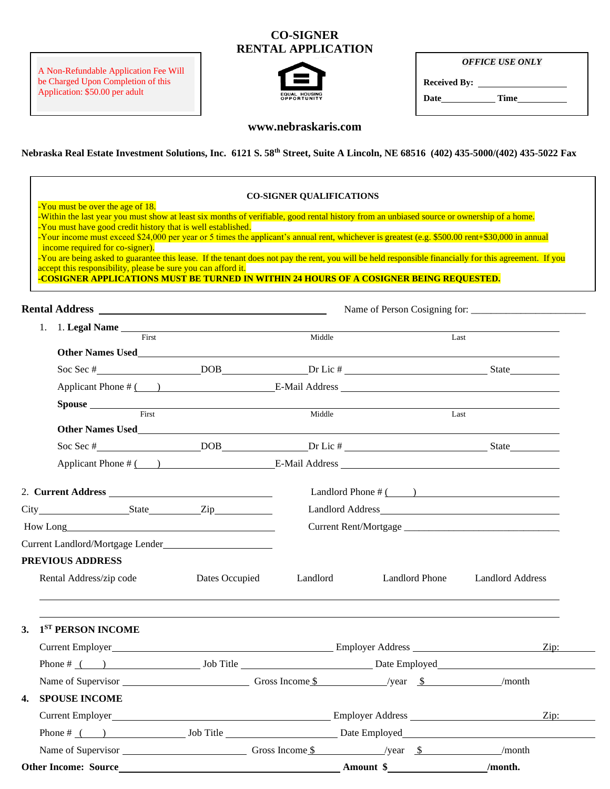## **CO-SIGNER RENTAL APPLICATION**

A Non-Refundable Application Fee Will be Charged Upon Completion of this Application: \$50.00 per adult



*OFFICE USE ONLY*

**Received By:** 

**Date Time**

## **www.nebraskaris.com**

**Nebraska Real Estate Investment Solutions, Inc. 6121 S. 58th Street, Suite A Lincoln, NE 68516 (402) 435-5000/(402) 435-5022 Fax**

| -You must be over the age of 18.                                                                                                                                 |                                                                                                                                                                                                                                                                                                                                                                                                                                                         | <b>CO-SIGNER QUALIFICATIONS</b>                                                                              |                         |                         |  |  |
|------------------------------------------------------------------------------------------------------------------------------------------------------------------|---------------------------------------------------------------------------------------------------------------------------------------------------------------------------------------------------------------------------------------------------------------------------------------------------------------------------------------------------------------------------------------------------------------------------------------------------------|--------------------------------------------------------------------------------------------------------------|-------------------------|-------------------------|--|--|
| -You must have good credit history that is well established.<br>income required for co-signer).<br>accept this responsibility, please be sure you can afford it. | -Within the last year you must show at least six months of verifiable, good rental history from an unbiased source or ownership of a home.<br>-Your income must exceed \$24,000 per year or 5 times the applicant's annual rent, whichever is greatest (e.g. \$500.00 rent+\$30,000 in annual<br>-You are being asked to guarantee this lease. If the tenant does not pay the rent, you will be held responsible financially for this agreement. If you |                                                                                                              |                         |                         |  |  |
|                                                                                                                                                                  | -COSIGNER APPLICATIONS MUST BE TURNED IN WITHIN 24 HOURS OF A COSIGNER BEING REQUESTED.                                                                                                                                                                                                                                                                                                                                                                 |                                                                                                              |                         |                         |  |  |
|                                                                                                                                                                  |                                                                                                                                                                                                                                                                                                                                                                                                                                                         |                                                                                                              |                         |                         |  |  |
| First                                                                                                                                                            |                                                                                                                                                                                                                                                                                                                                                                                                                                                         | Middle<br>Last                                                                                               |                         |                         |  |  |
|                                                                                                                                                                  | Other Names Used <b>Executive Services</b> Contains a service of the service of the service of the service of the service of the service of the service of the service of the service of the service of the service of the service                                                                                                                                                                                                                      |                                                                                                              |                         |                         |  |  |
|                                                                                                                                                                  |                                                                                                                                                                                                                                                                                                                                                                                                                                                         |                                                                                                              |                         |                         |  |  |
|                                                                                                                                                                  |                                                                                                                                                                                                                                                                                                                                                                                                                                                         |                                                                                                              |                         |                         |  |  |
|                                                                                                                                                                  |                                                                                                                                                                                                                                                                                                                                                                                                                                                         |                                                                                                              |                         |                         |  |  |
|                                                                                                                                                                  | Spouse First Middle                                                                                                                                                                                                                                                                                                                                                                                                                                     |                                                                                                              | Last                    |                         |  |  |
|                                                                                                                                                                  | Other Names Used<br><u>Line and the contract of the contract of the contract of the contract of the contract of the contract of the contract of the contract of the contract of the contract of the contract of the contract of th</u>                                                                                                                                                                                                                  |                                                                                                              |                         |                         |  |  |
|                                                                                                                                                                  |                                                                                                                                                                                                                                                                                                                                                                                                                                                         |                                                                                                              |                         |                         |  |  |
|                                                                                                                                                                  |                                                                                                                                                                                                                                                                                                                                                                                                                                                         |                                                                                                              |                         |                         |  |  |
|                                                                                                                                                                  |                                                                                                                                                                                                                                                                                                                                                                                                                                                         |                                                                                                              | Landlord Phone $\#$ ( ) |                         |  |  |
| City State Zip                                                                                                                                                   |                                                                                                                                                                                                                                                                                                                                                                                                                                                         |                                                                                                              |                         |                         |  |  |
|                                                                                                                                                                  |                                                                                                                                                                                                                                                                                                                                                                                                                                                         |                                                                                                              |                         |                         |  |  |
| Current Landlord/Mortgage Lender                                                                                                                                 |                                                                                                                                                                                                                                                                                                                                                                                                                                                         |                                                                                                              |                         |                         |  |  |
| <b>PREVIOUS ADDRESS</b>                                                                                                                                          |                                                                                                                                                                                                                                                                                                                                                                                                                                                         |                                                                                                              |                         |                         |  |  |
| Rental Address/zip code                                                                                                                                          | Dates Occupied                                                                                                                                                                                                                                                                                                                                                                                                                                          | Landlord                                                                                                     | <b>Landlord Phone</b>   | <b>Landlord Address</b> |  |  |
| 1 <sup>ST</sup> PERSON INCOME<br>3.                                                                                                                              |                                                                                                                                                                                                                                                                                                                                                                                                                                                         |                                                                                                              |                         |                         |  |  |
|                                                                                                                                                                  |                                                                                                                                                                                                                                                                                                                                                                                                                                                         | Current Employer Current Employer Address Current Employer Address Current Employer Address Current Employer |                         | $\overline{Zip: }$      |  |  |
|                                                                                                                                                                  |                                                                                                                                                                                                                                                                                                                                                                                                                                                         |                                                                                                              |                         |                         |  |  |
|                                                                                                                                                                  |                                                                                                                                                                                                                                                                                                                                                                                                                                                         |                                                                                                              |                         |                         |  |  |
| 4. SPOUSE INCOME                                                                                                                                                 |                                                                                                                                                                                                                                                                                                                                                                                                                                                         |                                                                                                              |                         |                         |  |  |
|                                                                                                                                                                  |                                                                                                                                                                                                                                                                                                                                                                                                                                                         |                                                                                                              |                         |                         |  |  |
|                                                                                                                                                                  |                                                                                                                                                                                                                                                                                                                                                                                                                                                         |                                                                                                              |                         |                         |  |  |
|                                                                                                                                                                  | Name of Supervisor <u>Conserversity</u> Gross Income \$ 5 Alternative System Agent Structure Structure Structure Structure Structure Structure Structure Structure Structure Structure Structure Structure Structure Structure Struc                                                                                                                                                                                                                    |                                                                                                              |                         | /month                  |  |  |
|                                                                                                                                                                  |                                                                                                                                                                                                                                                                                                                                                                                                                                                         |                                                                                                              |                         | /month.                 |  |  |